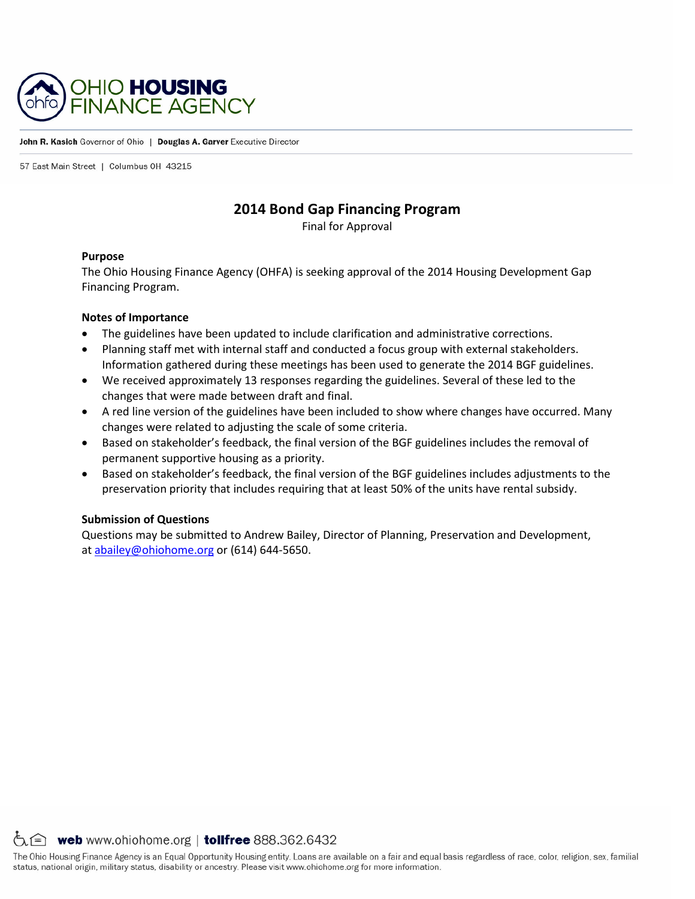

#### John R. Kasich Governor of Ohio | Douglas A. Garver Executive Director

57 East Main Street | Columbus 0H 43215

#### **2014 Bond Gap Financing Program**

Final for Approval

#### **Purpose**

The Ohio Housing Finance Agency (OHFA) is seeking approval of the 2014 Housing Development Gap Financing Program.

#### **Notes of Importance**

- The guidelines have been updated to include clarification and administrative corrections.
- Planning staff met with internal staff and conducted a focus group with external stakeholders. Information gathered during these meetings has been used to generate the 2014 BGF guidelines.
- We received approximately 13 responses regarding the guidelines. Several of these led to the changes that were made between draft and final.
- A red line version of the guidelines have been included to show where changes have occurred. Many changes were related to adjusting the scale of some criteria.
- Based on stakeholder's feedback, the final version of the BGF guidelines includes the removal of permanent supportive housing as a priority.
- Based on stakeholder's feedback, the final version of the BGF guidelines includes adjustments to the preservation priority that includes requiring that at least 50% of the units have rental subsidy.

#### **Submission of Questions**

Questions may be submitted to Andrew Bailey, Director of Planning, Preservation and Development, at [abailey@ohiohome.org](mailto:abailey@ohiohome.org) or (614) 644-5650.

 $\circlearrowright$  web www.ohiohome.org | tollfree 888.362.6432

The Ohio Housing Finance Agency is an Equal Opportunity Housing entity. Loans are available on a fair and equal basis regardless of race, color, religion, sex, familial status, national origin, military status, disability or ancestry. Please visit www.ohiohome.org for more information.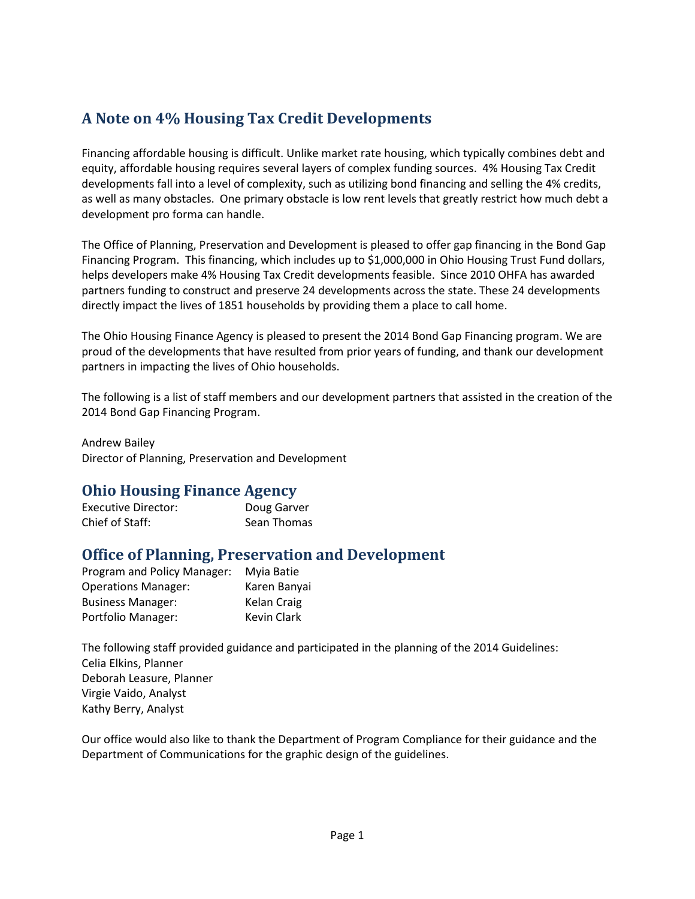# **A Note on 4% Housing Tax Credit Developments**

Financing affordable housing is difficult. Unlike market rate housing, which typically combines debt and equity, affordable housing requires several layers of complex funding sources. 4% Housing Tax Credit developments fall into a level of complexity, such as utilizing bond financing and selling the 4% credits, as well as many obstacles. One primary obstacle is low rent levels that greatly restrict how much debt a development pro forma can handle.

The Office of Planning, Preservation and Development is pleased to offer gap financing in the Bond Gap Financing Program. This financing, which includes up to \$1,000,000 in Ohio Housing Trust Fund dollars, helps developers make 4% Housing Tax Credit developments feasible. Since 2010 OHFA has awarded partners funding to construct and preserve 24 developments across the state. These 24 developments directly impact the lives of 1851 households by providing them a place to call home.

The Ohio Housing Finance Agency is pleased to present the 2014 Bond Gap Financing program. We are proud of the developments that have resulted from prior years of funding, and thank our development partners in impacting the lives of Ohio households.

The following is a list of staff members and our development partners that assisted in the creation of the 2014 Bond Gap Financing Program.

Andrew Bailey Director of Planning, Preservation and Development

# **Ohio Housing Finance Agency**

| Executive Director: | Doug Garver |
|---------------------|-------------|
| Chief of Staff:     | Sean Thomas |

# **Office of Planning, Preservation and Development**

| Program and Policy Manager: | Myia Batie         |
|-----------------------------|--------------------|
| <b>Operations Manager:</b>  | Karen Banyai       |
| <b>Business Manager:</b>    | Kelan Craig        |
| Portfolio Manager:          | <b>Kevin Clark</b> |

The following staff provided guidance and participated in the planning of the 2014 Guidelines: Celia Elkins, Planner Deborah Leasure, Planner Virgie Vaido, Analyst Kathy Berry, Analyst

Our office would also like to thank the Department of Program Compliance for their guidance and the Department of Communications for the graphic design of the guidelines.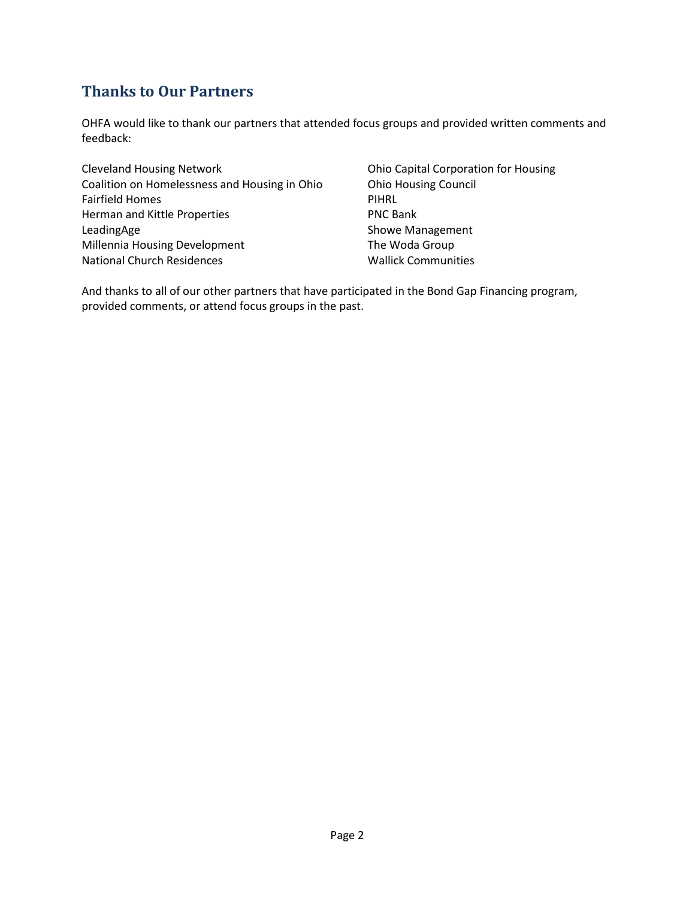# **Thanks to Our Partners**

OHFA would like to thank our partners that attended focus groups and provided written comments and feedback:

Cleveland Housing Network Coalition on Homelessness and Housing in Ohio Fairfield Homes Herman and Kittle Properties LeadingAge Millennia Housing Development National Church Residences

Ohio Capital Corporation for Housing Ohio Housing Council PIHRL PNC Bank Showe Management The Woda Group Wallick Communities

And thanks to all of our other partners that have participated in the Bond Gap Financing program, provided comments, or attend focus groups in the past.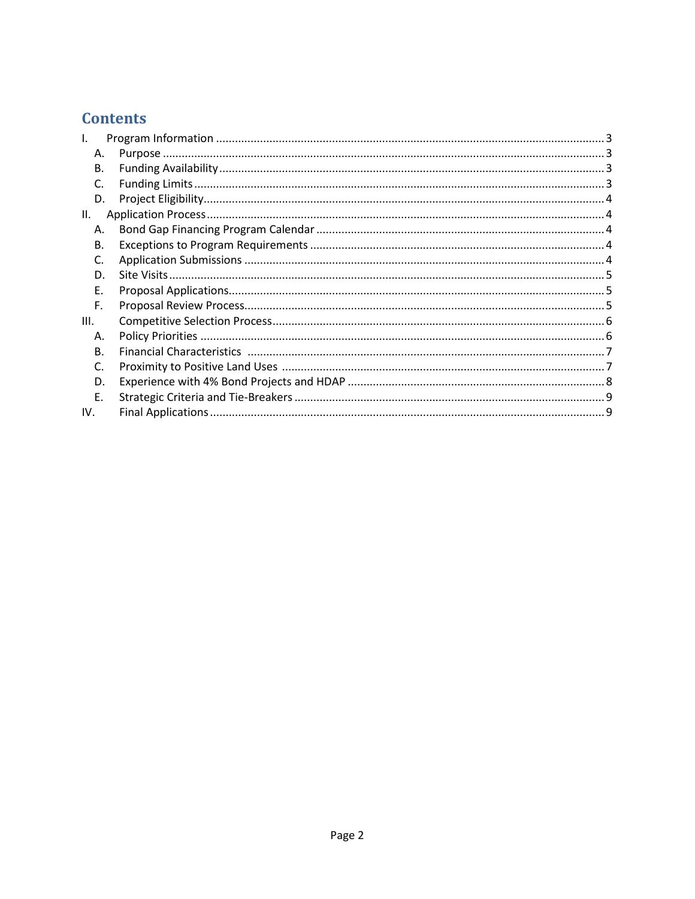# **Contents**

| Ι.   |  |
|------|--|
| А.   |  |
| В.   |  |
| C.   |  |
| D.   |  |
| II.  |  |
| А.   |  |
| В.   |  |
| C.   |  |
| D.   |  |
| F.   |  |
| F.   |  |
| III. |  |
| А.   |  |
| B.   |  |
| C.   |  |
| D.   |  |
| F.   |  |
| IV.  |  |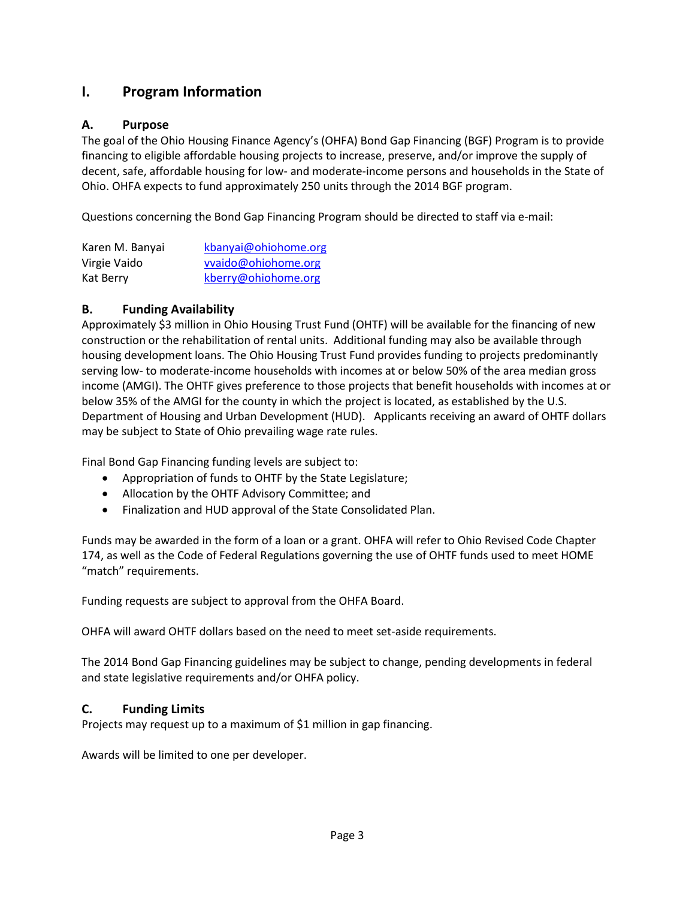# <span id="page-4-0"></span>**I. Program Information**

## <span id="page-4-1"></span>**A. Purpose**

The goal of the Ohio Housing Finance Agency's (OHFA) Bond Gap Financing (BGF) Program is to provide financing to eligible affordable housing projects to increase, preserve, and/or improve the supply of decent, safe, affordable housing for low- and moderate-income persons and households in the State of Ohio. OHFA expects to fund approximately 250 units through the 2014 BGF program.

Questions concerning the Bond Gap Financing Program should be directed to staff via e-mail:

| Karen M. Banyai | kbanyai@ohiohome.org |
|-----------------|----------------------|
| Virgie Vaido    | vvaido@ohiohome.org  |
| Kat Berry       | kberry@ohiohome.org  |

## <span id="page-4-2"></span>**B. Funding Availability**

Approximately \$3 million in Ohio Housing Trust Fund (OHTF) will be available for the financing of new construction or the rehabilitation of rental units. Additional funding may also be available through housing development loans. The Ohio Housing Trust Fund provides funding to projects predominantly serving low- to moderate-income households with incomes at or below 50% of the area median gross income (AMGI). The OHTF gives preference to those projects that benefit households with incomes at or below 35% of the AMGI for the county in which the project is located, as established by the U.S. Department of Housing and Urban Development (HUD). Applicants receiving an award of OHTF dollars may be subject to State of Ohio prevailing wage rate rules.

Final Bond Gap Financing funding levels are subject to:

- Appropriation of funds to OHTF by the State Legislature;
- Allocation by the OHTF Advisory Committee; and
- Finalization and HUD approval of the State Consolidated Plan.

Funds may be awarded in the form of a loan or a grant. OHFA will refer to Ohio Revised Code Chapter 174, as well as the Code of Federal Regulations governing the use of OHTF funds used to meet HOME "match" requirements.

Funding requests are subject to approval from the OHFA Board.

OHFA will award OHTF dollars based on the need to meet set-aside requirements.

The 2014 Bond Gap Financing guidelines may be subject to change, pending developments in federal and state legislative requirements and/or OHFA policy.

## <span id="page-4-3"></span>**C. Funding Limits**

Projects may request up to a maximum of \$1 million in gap financing.

Awards will be limited to one per developer.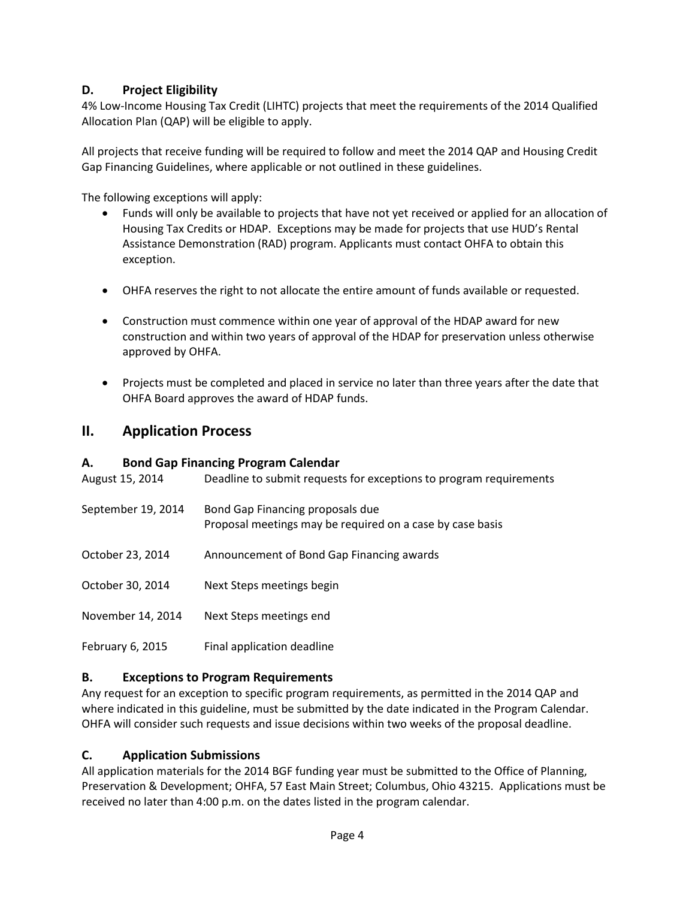## <span id="page-5-0"></span>**D. Project Eligibility**

4% Low-Income Housing Tax Credit (LIHTC) projects that meet the requirements of the 2014 Qualified Allocation Plan (QAP) will be eligible to apply.

All projects that receive funding will be required to follow and meet the 2014 QAP and Housing Credit Gap Financing Guidelines, where applicable or not outlined in these guidelines.

The following exceptions will apply:

- Funds will only be available to projects that have not yet received or applied for an allocation of Housing Tax Credits or HDAP. Exceptions may be made for projects that use HUD's Rental Assistance Demonstration (RAD) program. Applicants must contact OHFA to obtain this exception.
- OHFA reserves the right to not allocate the entire amount of funds available or requested.
- Construction must commence within one year of approval of the HDAP award for new construction and within two years of approval of the HDAP for preservation unless otherwise approved by OHFA.
- Projects must be completed and placed in service no later than three years after the date that OHFA Board approves the award of HDAP funds.

## <span id="page-5-1"></span>**II. Application Process**

## <span id="page-5-2"></span>**A. Bond Gap Financing Program Calendar**

| August 15, 2014    | Deadline to submit requests for exceptions to program requirements                            |
|--------------------|-----------------------------------------------------------------------------------------------|
| September 19, 2014 | Bond Gap Financing proposals due<br>Proposal meetings may be required on a case by case basis |
| October 23, 2014   | Announcement of Bond Gap Financing awards                                                     |
| October 30, 2014   | Next Steps meetings begin                                                                     |
| November 14, 2014  | Next Steps meetings end                                                                       |
| February 6, 2015   | Final application deadline                                                                    |

#### <span id="page-5-3"></span>**B. Exceptions to Program Requirements**

Any request for an exception to specific program requirements, as permitted in the 2014 QAP and where indicated in this guideline, must be submitted by the date indicated in the Program Calendar. OHFA will consider such requests and issue decisions within two weeks of the proposal deadline.

## <span id="page-5-4"></span>**C. Application Submissions**

All application materials for the 2014 BGF funding year must be submitted to the Office of Planning, Preservation & Development; OHFA, 57 East Main Street; Columbus, Ohio 43215. Applications must be received no later than 4:00 p.m. on the dates listed in the program calendar.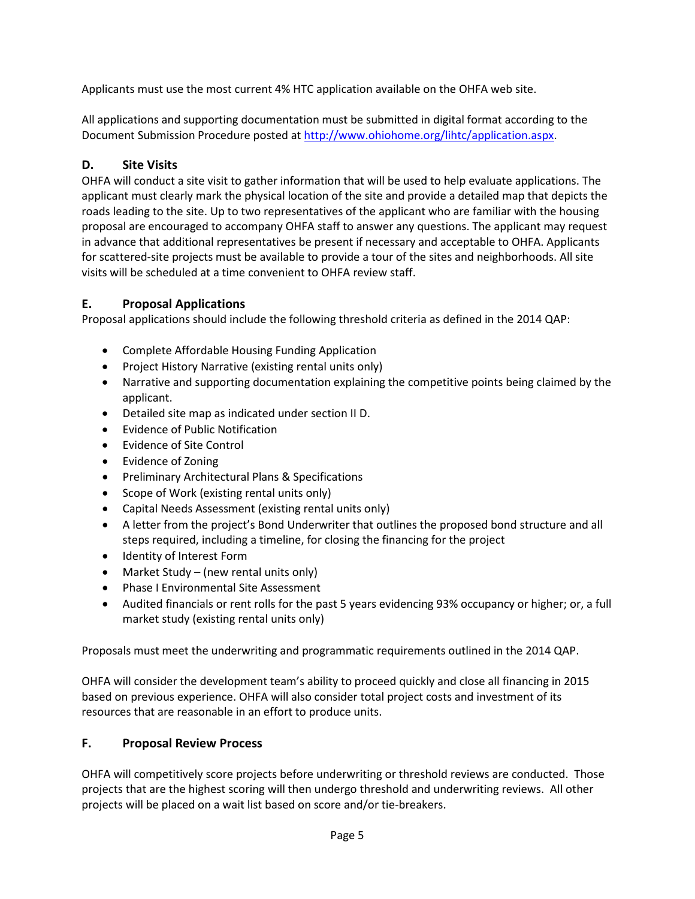Applicants must use the most current 4% HTC application available on the OHFA web site.

All applications and supporting documentation must be submitted in digital format according to the Document Submission Procedure posted at [http://www.ohiohome.org/lihtc/application.aspx.](http://www.ohiohome.org/lihtc/application.aspx)

## <span id="page-6-0"></span>**D. Site Visits**

OHFA will conduct a site visit to gather information that will be used to help evaluate applications. The applicant must clearly mark the physical location of the site and provide a detailed map that depicts the roads leading to the site. Up to two representatives of the applicant who are familiar with the housing proposal are encouraged to accompany OHFA staff to answer any questions. The applicant may request in advance that additional representatives be present if necessary and acceptable to OHFA. Applicants for scattered-site projects must be available to provide a tour of the sites and neighborhoods. All site visits will be scheduled at a time convenient to OHFA review staff.

## <span id="page-6-1"></span>**E. Proposal Applications**

Proposal applications should include the following threshold criteria as defined in the 2014 QAP:

- Complete Affordable Housing Funding Application
- Project History Narrative (existing rental units only)
- Narrative and supporting documentation explaining the competitive points being claimed by the applicant.
- Detailed site map as indicated under section II D.
- Evidence of Public Notification
- Evidence of Site Control
- Evidence of Zoning
- Preliminary Architectural Plans & Specifications
- Scope of Work (existing rental units only)
- Capital Needs Assessment (existing rental units only)
- A letter from the project's Bond Underwriter that outlines the proposed bond structure and all steps required, including a timeline, for closing the financing for the project
- Identity of Interest Form
- Market Study (new rental units only)
- Phase I Environmental Site Assessment
- Audited financials or rent rolls for the past 5 years evidencing 93% occupancy or higher; or, a full market study (existing rental units only)

Proposals must meet the underwriting and programmatic requirements outlined in the 2014 QAP.

OHFA will consider the development team's ability to proceed quickly and close all financing in 2015 based on previous experience. OHFA will also consider total project costs and investment of its resources that are reasonable in an effort to produce units.

## <span id="page-6-2"></span>**F. Proposal Review Process**

OHFA will competitively score projects before underwriting or threshold reviews are conducted. Those projects that are the highest scoring will then undergo threshold and underwriting reviews. All other projects will be placed on a wait list based on score and/or tie-breakers.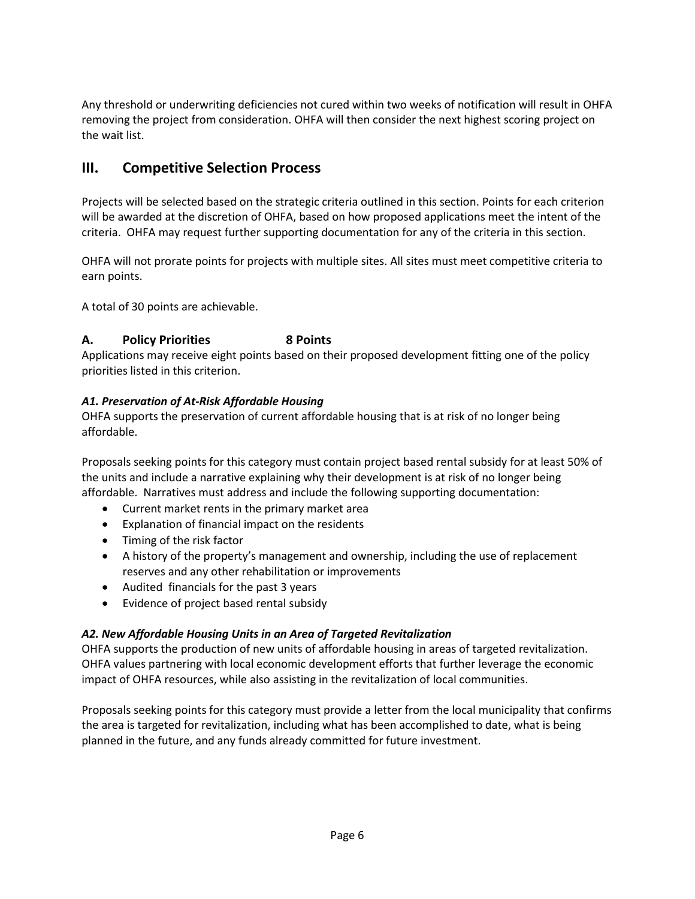Any threshold or underwriting deficiencies not cured within two weeks of notification will result in OHFA removing the project from consideration. OHFA will then consider the next highest scoring project on the wait list.

# <span id="page-7-0"></span>**III. Competitive Selection Process**

Projects will be selected based on the strategic criteria outlined in this section. Points for each criterion will be awarded at the discretion of OHFA, based on how proposed applications meet the intent of the criteria. OHFA may request further supporting documentation for any of the criteria in this section.

OHFA will not prorate points for projects with multiple sites. All sites must meet competitive criteria to earn points.

A total of 30 points are achievable.

## <span id="page-7-1"></span>**A. Policy Priorities 8 Points**

Applications may receive eight points based on their proposed development fitting one of the policy priorities listed in this criterion.

## *A1. Preservation of At-Risk Affordable Housing*

OHFA supports the preservation of current affordable housing that is at risk of no longer being affordable.

Proposals seeking points for this category must contain project based rental subsidy for at least 50% of the units and include a narrative explaining why their development is at risk of no longer being affordable. Narratives must address and include the following supporting documentation:

- Current market rents in the primary market area
- Explanation of financial impact on the residents
- Timing of the risk factor
- A history of the property's management and ownership, including the use of replacement reserves and any other rehabilitation or improvements
- Audited financials for the past 3 years
- Evidence of project based rental subsidy

## *A2. New Affordable Housing Units in an Area of Targeted Revitalization*

OHFA supports the production of new units of affordable housing in areas of targeted revitalization. OHFA values partnering with local economic development efforts that further leverage the economic impact of OHFA resources, while also assisting in the revitalization of local communities.

Proposals seeking points for this category must provide a letter from the local municipality that confirms the area is targeted for revitalization, including what has been accomplished to date, what is being planned in the future, and any funds already committed for future investment.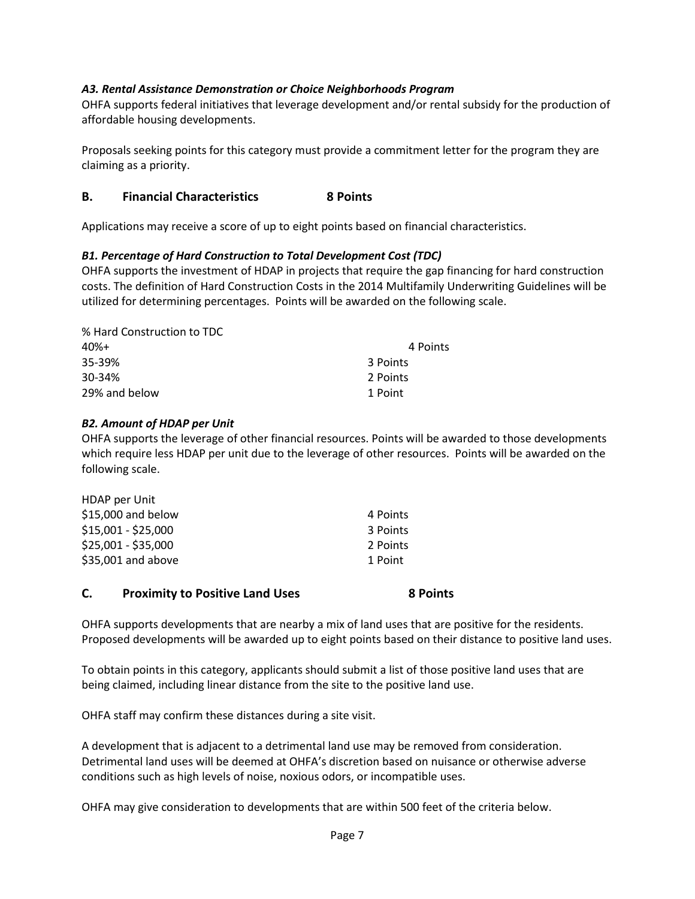#### *A3. Rental Assistance Demonstration or Choice Neighborhoods Program*

OHFA supports federal initiatives that leverage development and/or rental subsidy for the production of affordable housing developments.

Proposals seeking points for this category must provide a commitment letter for the program they are claiming as a priority.

#### <span id="page-8-0"></span>**B. Financial Characteristics 8 Points**

Applications may receive a score of up to eight points based on financial characteristics.

#### *B1. Percentage of Hard Construction to Total Development Cost (TDC)*

OHFA supports the investment of HDAP in projects that require the gap financing for hard construction costs. The definition of Hard Construction Costs in the 2014 Multifamily Underwriting Guidelines will be utilized for determining percentages. Points will be awarded on the following scale.

| % Hard Construction to TDC |          |
|----------------------------|----------|
| 40%+                       | 4 Points |
| 35-39%                     | 3 Points |
| 30-34%                     | 2 Points |
| 29% and below              | 1 Point  |

#### *B2. Amount of HDAP per Unit*

OHFA supports the leverage of other financial resources. Points will be awarded to those developments which require less HDAP per unit due to the leverage of other resources. Points will be awarded on the following scale.

| HDAP per Unit       |          |
|---------------------|----------|
| \$15,000 and below  | 4 Points |
| \$15,001 - \$25,000 | 3 Points |
| \$25,001 - \$35,000 | 2 Points |
| \$35,001 and above  | 1 Point  |
|                     |          |

#### <span id="page-8-1"></span>**C. Proximity to Positive Land Uses 8 Points**

OHFA supports developments that are nearby a mix of land uses that are positive for the residents. Proposed developments will be awarded up to eight points based on their distance to positive land uses.

To obtain points in this category, applicants should submit a list of those positive land uses that are being claimed, including linear distance from the site to the positive land use.

OHFA staff may confirm these distances during a site visit.

A development that is adjacent to a detrimental land use may be removed from consideration. Detrimental land uses will be deemed at OHFA's discretion based on nuisance or otherwise adverse conditions such as high levels of noise, noxious odors, or incompatible uses.

OHFA may give consideration to developments that are within 500 feet of the criteria below.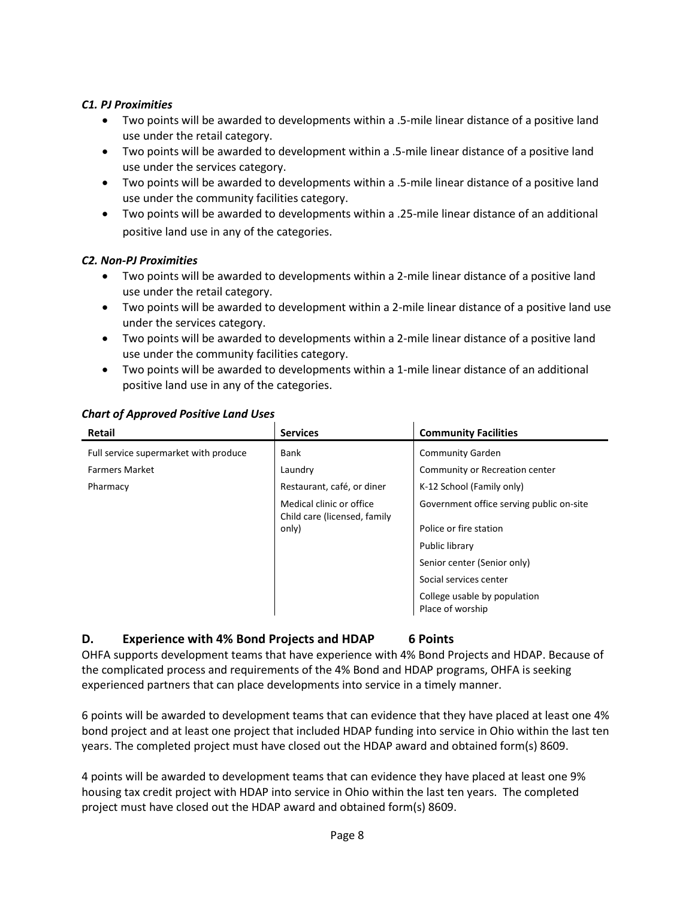#### *C1. PJ Proximities*

- Two points will be awarded to developments within a .5-mile linear distance of a positive land use under the retail category.
- Two points will be awarded to development within a .5-mile linear distance of a positive land use under the services category.
- Two points will be awarded to developments within a .5-mile linear distance of a positive land use under the community facilities category.
- Two points will be awarded to developments within a .25-mile linear distance of an additional positive land use in any of the categories.

#### *C2. Non-PJ Proximities*

- Two points will be awarded to developments within a 2-mile linear distance of a positive land use under the retail category.
- Two points will be awarded to development within a 2-mile linear distance of a positive land use under the services category.
- Two points will be awarded to developments within a 2-mile linear distance of a positive land use under the community facilities category.
- Two points will be awarded to developments within a 1-mile linear distance of an additional positive land use in any of the categories.

#### *Chart of Approved Positive Land Uses*

| <b>Retail</b>                         | <b>Services</b>                                          | <b>Community Facilities</b>                      |
|---------------------------------------|----------------------------------------------------------|--------------------------------------------------|
| Full service supermarket with produce | Bank                                                     | <b>Community Garden</b>                          |
| <b>Farmers Market</b>                 | Laundry                                                  | Community or Recreation center                   |
| Pharmacy                              | Restaurant, café, or diner                               | K-12 School (Family only)                        |
|                                       | Medical clinic or office<br>Child care (licensed, family | Government office serving public on-site         |
|                                       | only)                                                    | Police or fire station                           |
|                                       |                                                          | Public library                                   |
|                                       |                                                          | Senior center (Senior only)                      |
|                                       |                                                          | Social services center                           |
|                                       |                                                          | College usable by population<br>Place of worship |

#### <span id="page-9-0"></span>**D. Experience with 4% Bond Projects and HDAP 6 Points**

 $\mathbf{r}$ 

OHFA supports development teams that have experience with 4% Bond Projects and HDAP. Because of the complicated process and requirements of the 4% Bond and HDAP programs, OHFA is seeking experienced partners that can place developments into service in a timely manner.

6 points will be awarded to development teams that can evidence that they have placed at least one 4% bond project and at least one project that included HDAP funding into service in Ohio within the last ten years. The completed project must have closed out the HDAP award and obtained form(s) 8609.

4 points will be awarded to development teams that can evidence they have placed at least one 9% housing tax credit project with HDAP into service in Ohio within the last ten years. The completed project must have closed out the HDAP award and obtained form(s) 8609.